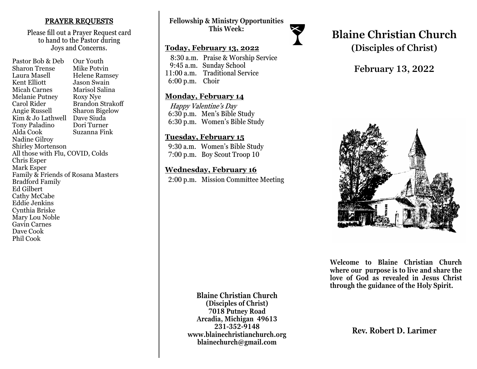#### PRAYER REQUESTS

Please fill out a Prayer Request card to hand to the Pastor during Joys and Concerns.

Pastor Bob & Deb Our Youth Sharon Trense Mike Potvin Laura Masell Helene Ramsey<br>Kent Elliott Jason Swain **Jason Swain** Micah Carnes Marisol Salina Melanie Putney Roxy Nye Carol Rider Brandon Strakoff Angie Russell Sharon Bigelow Kim & Jo Lathwell Dave Siuda<br>Tony Paladino Dori Turner Tony Paladino Alda Cook Suzanna Fink Nadine Gilroy Shirley Mortenson All those with Flu, COVID, Colds Chris Esper Mark Esper Family & Friends of Rosana Masters Bradford Family Ed Gilbert Cathy McCabe Eddie Jenkins Cynthia Briske Mary Lou Noble Gavin Carnes Dave Cook Phil Cook

### **Fellowship & Ministry Opportunities This Week:**

#### **Today, February 13, 2022**

 8:30 a.m. Praise & Worship Service 9:45 a.m. Sunday School 11:00 a.m. Traditional Service 6:00 p.m. Choir

#### **Monday, February 14**

 Happy Valentine's Day 6:30 p.m. Men's Bible Study 6:30 p.m. Women's Bible Study

### **Tuesday, February 15**

 9:30 a.m. Women's Bible Study 7:00 p.m. Boy Scout Troop 10

### **Wednesday, February 16**

2:00 p.m. Mission Committee Meeting



# **February 13, 2022**



**Welcome to Blaine Christian Church where our purpose is to live and share the love of God as revealed in Jesus Christ through the guidance of the Holy Spirit.**

**Blaine Christian Church (Disciples of Christ) 7018 Putney Road Arcadia, Michigan 49613 231-352-9148 www.blainechristianchurch.org blainechurch@gmail.com**

**Rev. Robert D. Larimer**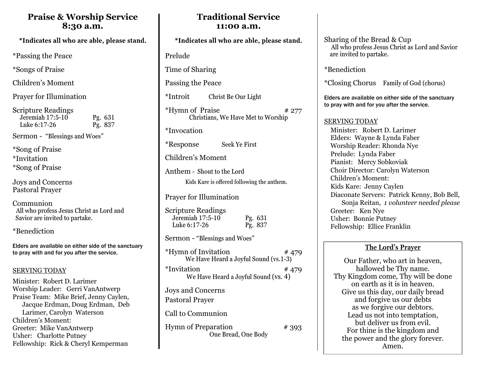## **Praise & Worship Service 8:30 a.m.**

\*Passing the Peace

\*Songs of Praise

Children's Moment

Prayer for Illumination

Scripture Readings Jeremiah 17:5-10 Pg. 631 Luke 6:17-26 Pg. 837

Sermon - "Blessings and Woes"

\*Song of Praise \*Invitation \*Song of Praise

Joys and Concerns Pastoral Prayer

Communion All who profess Jesus Christ as Lord and Savior are invited to partake.

\*Benediction

Elders are available on either side of the sanctuary to pray with and for you after the service.

#### SERVING TODAY

Minister: Robert D. Larimer Worship Leader: Gerri VanAntwerp Praise Team: Mike Brief, Jenny Caylen, Jacque Erdman, Doug Erdman, Deb Larimer, Carolyn Waterson Children's Moment: Greeter: Mike VanAntwerp Usher: Charlotte Putney Fellowship: Rick & Cheryl Kemperman

## **Traditional Service 11:00 a.m.**

Prelude

Time of Sharing

Passing the Peace

\*Introit Christ Be Our Light

 $*Hvmn$  of Praise  $* 277$ Christians, We Have Met to Worship

\*Invocation

\*Response Seek Ye First

Children's Moment

Anthem - Shout to the Lord Kids Kare is offered following the anthem.

Prayer for Illumination

| <b>Scripture Readings</b> |         |
|---------------------------|---------|
| Jeremiah 17:5-10          | Pg. 631 |
| Luke 6:17-26              | Pg. 837 |

Sermon - "Blessings and Woes"

| <i>*</i> Hymn of Invitation<br>We Have Heard a Joyful Sound (vs.1-3) | #479 |
|----------------------------------------------------------------------|------|
| *Invitation<br>We Have Heard a Joyful Sound (vs. 4)                  | #479 |
| Joys and Concerns<br><b>Pastoral Prayer</b>                          |      |
| Call to Communion                                                    |      |

Hymn of Preparation # 393 One Bread, One Body

Sharing of the Bread & Cup All who profess Jesus Christ as Lord and Savior are invited to partake.

\*Benediction

\*Closing Chorus Family of God (chorus)

Elders are available on either side of the sanctuary to pray with and for you after the service.

#### SERVING TODAY

 Minister: Robert D. Larimer Elders: Wayne & Lynda Faber Worship Reader: Rhonda Nye Prelude: Lynda Faber Pianist: Mercy Sobkoviak Choir Director: Carolyn Waterson Children's Moment: Kids Kare: Jenny Caylen Diaconate Servers: Patrick Kenny, Bob Bell, Sonja Reitan, *1 volunteer needed please* Greeter: Ken Nye Usher: Bonnie Putney Fellowship: Ellice Franklin

## **The Lord's Prayer**

Our Father, who art in heaven, hallowed be Thy name. Thy Kingdom come, Thy will be done on earth as it is in heaven. Give us this day, our daily bread and forgive us our debts as we forgive our debtors. Lead us not into temptation, but deliver us from evil. For thine is the kingdom and the power and the glory forever. Amen.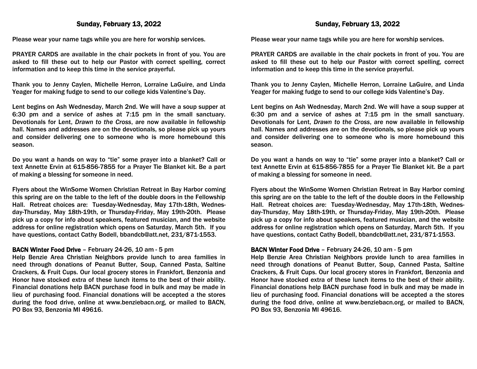#### Sunday, February 13, 2022

Please wear your name tags while you are here for worship services.

PRAYER CARDS are available in the chair pockets in front of you. You are asked to fill these out to help our Pastor with correct spelling, correct information and to keep this time in the service prayerful.

Thank you to Jenny Caylen, Michelle Herron, Lorraine LaGuire, and Linda Yeager for making fudge to send to our college kids Valentine's Day.

Lent begins on Ash Wednesday, March 2nd. We will have a soup supper at 6:30 pm and a service of ashes at 7:15 pm in the small sanctuary. Devotionals for Lent, *Drawn to the Cross*, are now available in fellowship hall. Names and addresses are on the devotionals, so please pick up yours and consider delivering one to someone who is more homebound this season.

Do you want a hands on way to "tie" some prayer into a blanket? Call or text Annette Ervin at 615-856-7855 for a Prayer Tie Blanket kit. Be a part of making a blessing for someone in need.

Flyers about the WinSome Women Christian Retreat in Bay Harbor coming this spring are on the table to the left of the double doors in the Fellowship Hall. Retreat choices are: Tuesday-Wednesday, May 17th-18th, Wednesday-Thursday, May 18th-19th, or Thursday-Friday, May 19th-20th. Please pick up a copy for info about speakers, featured musician, and the website address for online registration which opens on Saturday, March 5th. If you have questions, contact Cathy Bodell, bbandcb@att.net, 231/871-1553.

#### BACN Winter Food Drive – February 24-26, 10 am - 5 pm

Help Benzie Area Christian Neighbors provide lunch to area families in need through donations of Peanut Butter, Soup, Canned Pasta, Saltine Crackers, & Fruit Cups. Our local grocery stores in Frankfort, Benzonia and Honor have stocked extra of these lunch items to the best of their ability. Financial donations help BACN purchase food in bulk and may be made in lieu of purchasing food. Financial donations will be accepted a the stores during the food drive, online at www.benziebacn.org, or mailed to BACN, PO Box 93, Benzonia MI 49616.

Please wear your name tags while you are here for worship services.

PRAYER CARDS are available in the chair pockets in front of you. You are asked to fill these out to help our Pastor with correct spelling, correct information and to keep this time in the service prayerful.

Thank you to Jenny Caylen, Michelle Herron, Lorraine LaGuire, and Linda Yeager for making fudge to send to our college kids Valentine's Day.

Lent begins on Ash Wednesday, March 2nd. We will have a soup supper at 6:30 pm and a service of ashes at 7:15 pm in the small sanctuary. Devotionals for Lent, *Drawn to the Cross*, are now available in fellowship hall. Names and addresses are on the devotionals, so please pick up yours and consider delivering one to someone who is more homebound this season.

Do you want a hands on way to "tie" some prayer into a blanket? Call or text Annette Ervin at 615-856-7855 for a Prayer Tie Blanket kit. Be a part of making a blessing for someone in need.

Flyers about the WinSome Women Christian Retreat in Bay Harbor coming this spring are on the table to the left of the double doors in the Fellowship Hall. Retreat choices are: Tuesday-Wednesday, May 17th-18th, Wednesday-Thursday, May 18th-19th, or Thursday-Friday, May 19th-20th. Please pick up a copy for info about speakers, featured musician, and the website address for online registration which opens on Saturday, March 5th. If you have questions, contact Cathy Bodell, bbandcb@att.net, 231/871-1553.

#### BACN Winter Food Drive – February 24-26, 10 am - 5 pm

Help Benzie Area Christian Neighbors provide lunch to area families in need through donations of Peanut Butter, Soup, Canned Pasta, Saltine Crackers, & Fruit Cups. Our local grocery stores in Frankfort, Benzonia and Honor have stocked extra of these lunch items to the best of their ability. Financial donations help BACN purchase food in bulk and may be made in lieu of purchasing food. Financial donations will be accepted a the stores during the food drive, online at www.benziebacn.org, or mailed to BACN, PO Box 93, Benzonia MI 49616.

#### Sunday, February 13, 2022